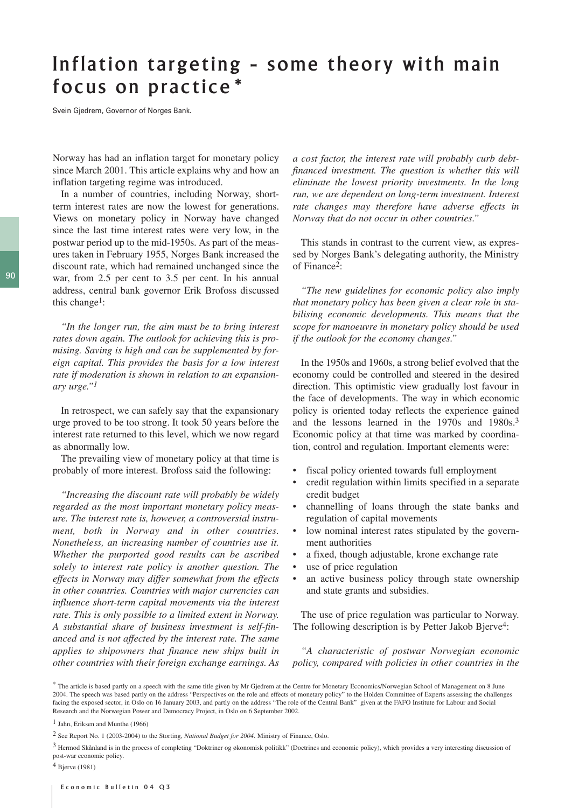## Inflation targeting - some theory with main focus on practice\*

Svein Gjedrem, Governor of Norges Bank.

Norway has had an inflation target for monetary policy since March 2001. This article explains why and how an inflation targeting regime was introduced.

In a number of countries, including Norway, shortterm interest rates are now the lowest for generations. Views on monetary policy in Norway have changed since the last time interest rates were very low, in the postwar period up to the mid-1950s. As part of the measures taken in February 1955, Norges Bank increased the discount rate, which had remained unchanged since the war, from 2.5 per cent to 3.5 per cent. In his annual address, central bank governor Erik Brofoss discussed this change1:

*"In the longer run, the aim must be to bring interest rates down again. The outlook for achieving this is promising. Saving is high and can be supplemented by foreign capital. This provides the basis for a low interest rate if moderation is shown in relation to an expansionary urge."1*

In retrospect, we can safely say that the expansionary urge proved to be too strong. It took 50 years before the interest rate returned to this level, which we now regard as abnormally low.

The prevailing view of monetary policy at that time is probably of more interest. Brofoss said the following:

*"Increasing the discount rate will probably be widely regarded as the most important monetary policy measure. The interest rate is, however, a controversial instrument, both in Norway and in other countries. Nonetheless, an increasing number of countries use it. Whether the purported good results can be ascribed solely to interest rate policy is another question. The effects in Norway may differ somewhat from the effects in other countries. Countries with major currencies can influence short-term capital movements via the interest rate. This is only possible to a limited extent in Norway. A substantial share of business investment is self-financed and is not affected by the interest rate. The same applies to shipowners that finance new ships built in other countries with their foreign exchange earnings. As*

*a cost factor, the interest rate will probably curb debtfinanced investment. The question is whether this will eliminate the lowest priority investments. In the long run, we are dependent on long-term investment. Interest rate changes may therefore have adverse effects in Norway that do not occur in other countries."* 

This stands in contrast to the current view, as expressed by Norges Bank's delegating authority, the Ministry of Finance2:

*"The new guidelines for economic policy also imply that monetary policy has been given a clear role in stabilising economic developments. This means that the scope for manoeuvre in monetary policy should be used if the outlook for the economy changes."* 

In the 1950s and 1960s, a strong belief evolved that the economy could be controlled and steered in the desired direction. This optimistic view gradually lost favour in the face of developments. The way in which economic policy is oriented today reflects the experience gained and the lessons learned in the 1970s and 1980s.3 Economic policy at that time was marked by coordination, control and regulation. Important elements were:

- fiscal policy oriented towards full employment
- credit regulation within limits specified in a separate credit budget
- channelling of loans through the state banks and regulation of capital movements
- low nominal interest rates stipulated by the government authorities
- a fixed, though adjustable, krone exchange rate
- use of price regulation
- an active business policy through state ownership and state grants and subsidies.

The use of price regulation was particular to Norway. The following description is by Petter Jakob Bjerve<sup>4</sup>:

*"A characteristic of postwar Norwegian economic policy, compared with policies in other countries in the*

<sup>\*</sup> The article is based partly on a speech with the same title given by Mr Gjedrem at the Centre for Monetary Economics/Norwegian School of Management on 8 June 2004. The speech was based partly on the address "Perspectives on the role and effects of monetary policy" to the Holden Committee of Experts assessing the challenges facing the exposed sector, in Oslo on 16 January 2003, and partly on the address "The role of the Central Bank" given at the FAFO Institute for Labour and Social Research and the Norwegian Power and Democracy Project, in Oslo on 6 September 2002.

<sup>1</sup> Jahn, Eriksen and Munthe (1966)

<sup>2</sup> See Report No. 1 (2003-2004) to the Storting, *National Budget for 2004*. Ministry of Finance, Oslo.

<sup>3</sup> Hermod Skånland is in the process of completing "Doktriner og økonomisk politikk" (Doctrines and economic policy), which provides a very interesting discussion of post-war economic policy.

<sup>4</sup> Bjerve (1981)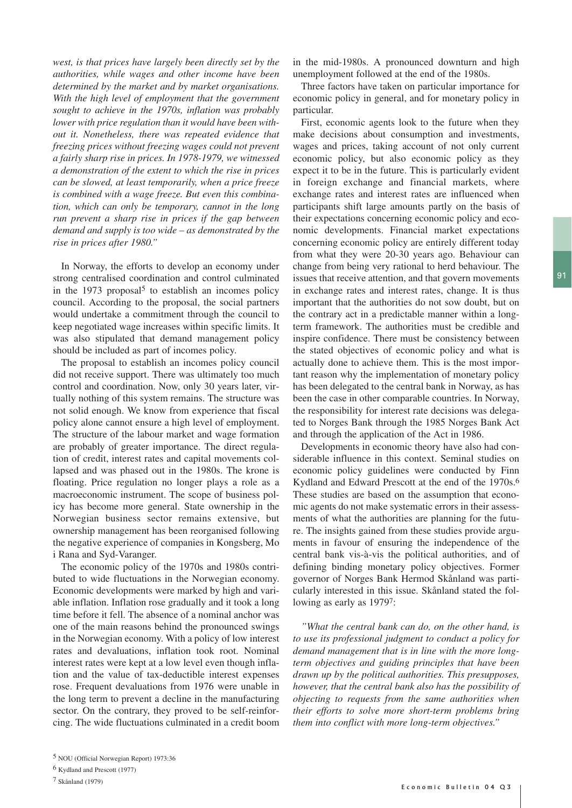*west, is that prices have largely been directly set by the authorities, while wages and other income have been determined by the market and by market organisations. With the high level of employment that the government sought to achieve in the 1970s, inflation was probably lower with price regulation than it would have been without it. Nonetheless, there was repeated evidence that freezing prices without freezing wages could not prevent a fairly sharp rise in prices. In 1978-1979, we witnessed a demonstration of the extent to which the rise in prices can be slowed, at least temporarily, when a price freeze is combined with a wage freeze. But even this combination, which can only be temporary, cannot in the long run prevent a sharp rise in prices if the gap between demand and supply is too wide – as demonstrated by the rise in prices after 1980."* 

In Norway, the efforts to develop an economy under strong centralised coordination and control culminated in the  $1973$  proposal<sup>5</sup> to establish an incomes policy council. According to the proposal, the social partners would undertake a commitment through the council to keep negotiated wage increases within specific limits. It was also stipulated that demand management policy should be included as part of incomes policy.

The proposal to establish an incomes policy council did not receive support. There was ultimately too much control and coordination. Now, only 30 years later, virtually nothing of this system remains. The structure was not solid enough. We know from experience that fiscal policy alone cannot ensure a high level of employment. The structure of the labour market and wage formation are probably of greater importance. The direct regulation of credit, interest rates and capital movements collapsed and was phased out in the 1980s. The krone is floating. Price regulation no longer plays a role as a macroeconomic instrument. The scope of business policy has become more general. State ownership in the Norwegian business sector remains extensive, but ownership management has been reorganised following the negative experience of companies in Kongsberg, Mo i Rana and Syd-Varanger.

The economic policy of the 1970s and 1980s contributed to wide fluctuations in the Norwegian economy. Economic developments were marked by high and variable inflation. Inflation rose gradually and it took a long time before it fell. The absence of a nominal anchor was one of the main reasons behind the pronounced swings in the Norwegian economy. With a policy of low interest rates and devaluations, inflation took root. Nominal interest rates were kept at a low level even though inflation and the value of tax-deductible interest expenses rose. Frequent devaluations from 1976 were unable in the long term to prevent a decline in the manufacturing sector. On the contrary, they proved to be self-reinforcing. The wide fluctuations culminated in a credit boom in the mid-1980s. A pronounced downturn and high unemployment followed at the end of the 1980s.

Three factors have taken on particular importance for economic policy in general, and for monetary policy in particular.

First, economic agents look to the future when they make decisions about consumption and investments, wages and prices, taking account of not only current economic policy, but also economic policy as they expect it to be in the future. This is particularly evident in foreign exchange and financial markets, where exchange rates and interest rates are influenced when participants shift large amounts partly on the basis of their expectations concerning economic policy and economic developments. Financial market expectations concerning economic policy are entirely different today from what they were 20-30 years ago. Behaviour can change from being very rational to herd behaviour. The issues that receive attention, and that govern movements in exchange rates and interest rates, change. It is thus important that the authorities do not sow doubt, but on the contrary act in a predictable manner within a longterm framework. The authorities must be credible and inspire confidence. There must be consistency between the stated objectives of economic policy and what is actually done to achieve them. This is the most important reason why the implementation of monetary policy has been delegated to the central bank in Norway, as has been the case in other comparable countries. In Norway, the responsibility for interest rate decisions was delegated to Norges Bank through the 1985 Norges Bank Act and through the application of the Act in 1986.

Developments in economic theory have also had considerable influence in this context. Seminal studies on economic policy guidelines were conducted by Finn Kydland and Edward Prescott at the end of the 1970s.6 These studies are based on the assumption that economic agents do not make systematic errors in their assessments of what the authorities are planning for the future. The insights gained from these studies provide arguments in favour of ensuring the independence of the central bank vis-à-vis the political authorities, and of defining binding monetary policy objectives. Former governor of Norges Bank Hermod Skånland was particularly interested in this issue. Skånland stated the following as early as 19797:

*"What the central bank can do, on the other hand, is to use its professional judgment to conduct a policy for demand management that is in line with the more longterm objectives and guiding principles that have been drawn up by the political authorities. This presupposes, however, that the central bank also has the possibility of objecting to requests from the same authorities when their efforts to solve more short-term problems bring them into conflict with more long-term objectives."* 

<sup>6</sup> Kydland and Prescott (1977)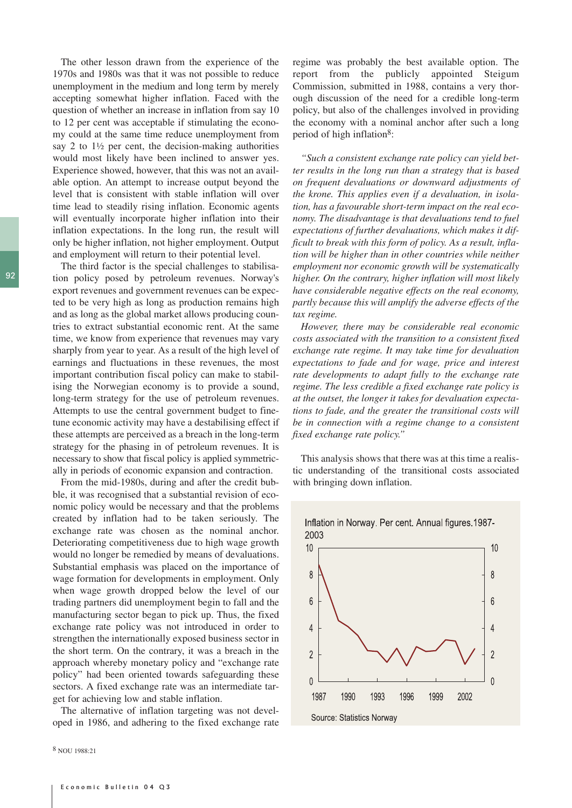The other lesson drawn from the experience of the 1970s and 1980s was that it was not possible to reduce unemployment in the medium and long term by merely accepting somewhat higher inflation. Faced with the question of whether an increase in inflation from say 10 to 12 per cent was acceptable if stimulating the economy could at the same time reduce unemployment from say 2 to  $1\frac{1}{2}$  per cent, the decision-making authorities would most likely have been inclined to answer yes. Experience showed, however, that this was not an available option. An attempt to increase output beyond the level that is consistent with stable inflation will over time lead to steadily rising inflation. Economic agents will eventually incorporate higher inflation into their inflation expectations. In the long run, the result will only be higher inflation, not higher employment. Output and employment will return to their potential level.

The third factor is the special challenges to stabilisation policy posed by petroleum revenues. Norway's export revenues and government revenues can be expected to be very high as long as production remains high and as long as the global market allows producing countries to extract substantial economic rent. At the same time, we know from experience that revenues may vary sharply from year to year. As a result of the high level of earnings and fluctuations in these revenues, the most important contribution fiscal policy can make to stabilising the Norwegian economy is to provide a sound, long-term strategy for the use of petroleum revenues. Attempts to use the central government budget to finetune economic activity may have a destabilising effect if these attempts are perceived as a breach in the long-term strategy for the phasing in of petroleum revenues. It is necessary to show that fiscal policy is applied symmetrically in periods of economic expansion and contraction.

From the mid-1980s, during and after the credit bubble, it was recognised that a substantial revision of economic policy would be necessary and that the problems created by inflation had to be taken seriously. The exchange rate was chosen as the nominal anchor. Deteriorating competitiveness due to high wage growth would no longer be remedied by means of devaluations. Substantial emphasis was placed on the importance of wage formation for developments in employment. Only when wage growth dropped below the level of our trading partners did unemployment begin to fall and the manufacturing sector began to pick up. Thus, the fixed exchange rate policy was not introduced in order to strengthen the internationally exposed business sector in the short term. On the contrary, it was a breach in the approach whereby monetary policy and "exchange rate policy" had been oriented towards safeguarding these sectors. A fixed exchange rate was an intermediate target for achieving low and stable inflation.

The alternative of inflation targeting was not developed in 1986, and adhering to the fixed exchange rate

8 NOU 1988:21

regime was probably the best available option. The report from the publicly appointed Steigum Commission, submitted in 1988, contains a very thorough discussion of the need for a credible long-term policy, but also of the challenges involved in providing the economy with a nominal anchor after such a long period of high inflation8:

*"Such a consistent exchange rate policy can yield better results in the long run than a strategy that is based on frequent devaluations or downward adjustments of the krone. This applies even if a devaluation, in isolation, has a favourable short-term impact on the real economy. The disadvantage is that devaluations tend to fuel expectations of further devaluations, which makes it difficult to break with this form of policy. As a result, inflation will be higher than in other countries while neither employment nor economic growth will be systematically higher. On the contrary, higher inflation will most likely have considerable negative effects on the real economy, partly because this will amplify the adverse effects of the tax regime.* 

*However, there may be considerable real economic costs associated with the transition to a consistent fixed exchange rate regime. It may take time for devaluation expectations to fade and for wage, price and interest rate developments to adapt fully to the exchange rate regime. The less credible a fixed exchange rate policy is at the outset, the longer it takes for devaluation expectations to fade, and the greater the transitional costs will be in connection with a regime change to a consistent fixed exchange rate policy."* 

This analysis shows that there was at this time a realistic understanding of the transitional costs associated with bringing down inflation.





92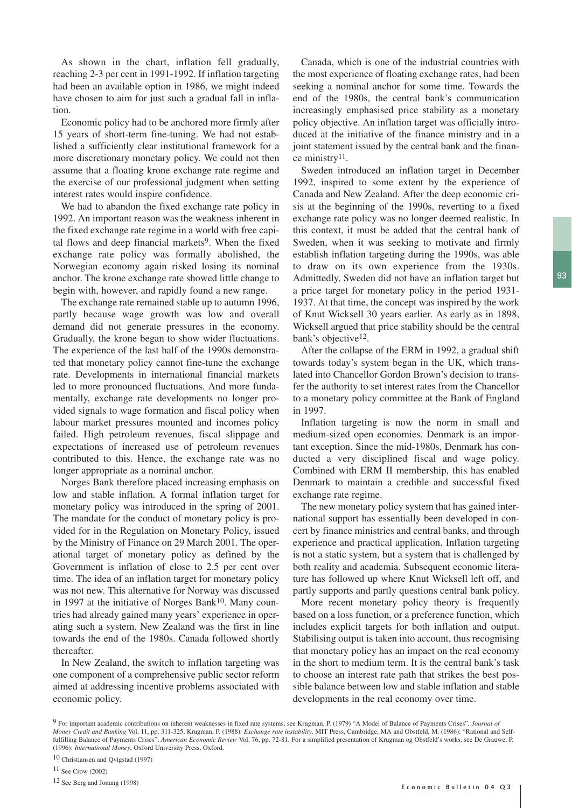As shown in the chart, inflation fell gradually, reaching 2-3 per cent in 1991-1992. If inflation targeting had been an available option in 1986, we might indeed have chosen to aim for just such a gradual fall in inflation.

Economic policy had to be anchored more firmly after 15 years of short-term fine-tuning. We had not established a sufficiently clear institutional framework for a more discretionary monetary policy. We could not then assume that a floating krone exchange rate regime and the exercise of our professional judgment when setting interest rates would inspire confidence.

We had to abandon the fixed exchange rate policy in 1992. An important reason was the weakness inherent in the fixed exchange rate regime in a world with free capital flows and deep financial markets<sup>9</sup>. When the fixed exchange rate policy was formally abolished, the Norwegian economy again risked losing its nominal anchor. The krone exchange rate showed little change to begin with, however, and rapidly found a new range.

The exchange rate remained stable up to autumn 1996, partly because wage growth was low and overall demand did not generate pressures in the economy. Gradually, the krone began to show wider fluctuations. The experience of the last half of the 1990s demonstrated that monetary policy cannot fine-tune the exchange rate. Developments in international financial markets led to more pronounced fluctuations. And more fundamentally, exchange rate developments no longer provided signals to wage formation and fiscal policy when labour market pressures mounted and incomes policy failed. High petroleum revenues, fiscal slippage and expectations of increased use of petroleum revenues contributed to this. Hence, the exchange rate was no longer appropriate as a nominal anchor.

Norges Bank therefore placed increasing emphasis on low and stable inflation. A formal inflation target for monetary policy was introduced in the spring of 2001. The mandate for the conduct of monetary policy is provided for in the Regulation on Monetary Policy, issued by the Ministry of Finance on 29 March 2001. The operational target of monetary policy as defined by the Government is inflation of close to 2.5 per cent over time. The idea of an inflation target for monetary policy was not new. This alternative for Norway was discussed in 1997 at the initiative of Norges Bank<sup>10</sup>. Many countries had already gained many years' experience in operating such a system. New Zealand was the first in line towards the end of the 1980s. Canada followed shortly thereafter.

In New Zealand, the switch to inflation targeting was one component of a comprehensive public sector reform aimed at addressing incentive problems associated with economic policy.

Canada, which is one of the industrial countries with the most experience of floating exchange rates, had been seeking a nominal anchor for some time. Towards the end of the 1980s, the central bank's communication increasingly emphasised price stability as a monetary policy objective. An inflation target was officially introduced at the initiative of the finance ministry and in a joint statement issued by the central bank and the finance ministry11.

Sweden introduced an inflation target in December 1992, inspired to some extent by the experience of Canada and New Zealand. After the deep economic crisis at the beginning of the 1990s, reverting to a fixed exchange rate policy was no longer deemed realistic. In this context, it must be added that the central bank of Sweden, when it was seeking to motivate and firmly establish inflation targeting during the 1990s, was able to draw on its own experience from the 1930s. Admittedly, Sweden did not have an inflation target but a price target for monetary policy in the period 1931- 1937. At that time, the concept was inspired by the work of Knut Wicksell 30 years earlier. As early as in 1898, Wicksell argued that price stability should be the central bank's objective<sup>12</sup>.

After the collapse of the ERM in 1992, a gradual shift towards today's system began in the UK, which translated into Chancellor Gordon Brown's decision to transfer the authority to set interest rates from the Chancellor to a monetary policy committee at the Bank of England in 1997.

Inflation targeting is now the norm in small and medium-sized open economies. Denmark is an important exception. Since the mid-1980s, Denmark has conducted a very disciplined fiscal and wage policy. Combined with ERM II membership, this has enabled Denmark to maintain a credible and successful fixed exchange rate regime.

The new monetary policy system that has gained international support has essentially been developed in concert by finance ministries and central banks, and through experience and practical application. Inflation targeting is not a static system, but a system that is challenged by both reality and academia. Subsequent economic literature has followed up where Knut Wicksell left off, and partly supports and partly questions central bank policy.

More recent monetary policy theory is frequently based on a loss function, or a preference function, which includes explicit targets for both inflation and output. Stabilising output is taken into account, thus recognising that monetary policy has an impact on the real economy in the short to medium term. It is the central bank's task to choose an interest rate path that strikes the best possible balance between low and stable inflation and stable developments in the real economy over time.

<sup>9</sup> For important academic contributions on inherent weaknesses in fixed rate systems, see Krugman, P. (1979) "A Model of Balance of Payments Crises", *Journal of Money Credit and Banking* Vol. 11, pp. 311-325, Krugman, P. (1988): *Exchange rate instability*. MIT Press, Cambridge, MA and Obstfeld, M. (1986): "Rational and Selffulfilling Balance of Payments Crises", *American Economic Review* Vol. 76, pp. 72-81. For a simplified presentation of Krugman og Obstfeld's works, see De Grauwe, P. (1996): *International Money*, Oxford University Press, Oxford.

<sup>10</sup> Christiansen and Qvigstad (1997)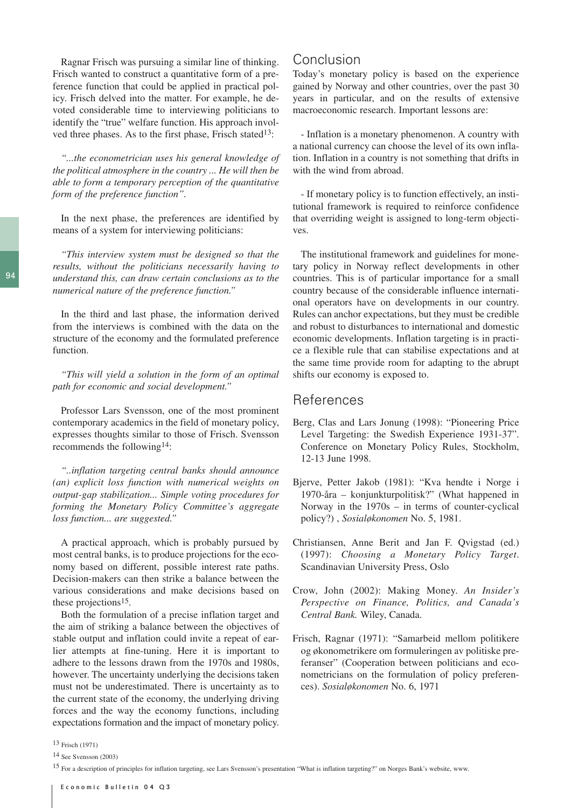Ragnar Frisch was pursuing a similar line of thinking. Frisch wanted to construct a quantitative form of a preference function that could be applied in practical policy. Frisch delved into the matter. For example, he devoted considerable time to interviewing politicians to identify the "true" welfare function. His approach involved three phases. As to the first phase, Frisch stated<sup>13</sup>:

*"...the econometrician uses his general knowledge of the political atmosphere in the country ... He will then be able to form a temporary perception of the quantitative form of the preference function".* 

In the next phase, the preferences are identified by means of a system for interviewing politicians:

*"This interview system must be designed so that the results, without the politicians necessarily having to understand this, can draw certain conclusions as to the numerical nature of the preference function."* 

In the third and last phase, the information derived from the interviews is combined with the data on the structure of the economy and the formulated preference function.

*"This will yield a solution in the form of an optimal path for economic and social development."* 

Professor Lars Svensson, one of the most prominent contemporary academics in the field of monetary policy, expresses thoughts similar to those of Frisch. Svensson recommends the following14:

*"..inflation targeting central banks should announce (an) explicit loss function with numerical weights on output-gap stabilization... Simple voting procedures for forming the Monetary Policy Committee's aggregate loss function... are suggested."* 

A practical approach, which is probably pursued by most central banks, is to produce projections for the economy based on different, possible interest rate paths. Decision-makers can then strike a balance between the various considerations and make decisions based on these projections15.

Both the formulation of a precise inflation target and the aim of striking a balance between the objectives of stable output and inflation could invite a repeat of earlier attempts at fine-tuning. Here it is important to adhere to the lessons drawn from the 1970s and 1980s, however. The uncertainty underlying the decisions taken must not be underestimated. There is uncertainty as to the current state of the economy, the underlying driving forces and the way the economy functions, including expectations formation and the impact of monetary policy.

## Conclusion

Today's monetary policy is based on the experience gained by Norway and other countries, over the past 30 years in particular, and on the results of extensive macroeconomic research. Important lessons are:

- Inflation is a monetary phenomenon. A country with a national currency can choose the level of its own inflation. Inflation in a country is not something that drifts in with the wind from abroad.

- If monetary policy is to function effectively, an institutional framework is required to reinforce confidence that overriding weight is assigned to long-term objectives.

The institutional framework and guidelines for monetary policy in Norway reflect developments in other countries. This is of particular importance for a small country because of the considerable influence international operators have on developments in our country. Rules can anchor expectations, but they must be credible and robust to disturbances to international and domestic economic developments. Inflation targeting is in practice a flexible rule that can stabilise expectations and at the same time provide room for adapting to the abrupt shifts our economy is exposed to.

## References

- Berg, Clas and Lars Jonung (1998): "Pioneering Price Level Targeting: the Swedish Experience 1931-37". Conference on Monetary Policy Rules, Stockholm, 12-13 June 1998.
- Bjerve, Petter Jakob (1981): "Kva hendte i Norge i 1970-åra – konjunkturpolitisk?" (What happened in Norway in the 1970s – in terms of counter-cyclical policy?) , *Sosialøkonomen* No. 5, 1981.
- Christiansen, Anne Berit and Jan F. Qvigstad (ed.) (1997): *Choosing a Monetary Policy Target*. Scandinavian University Press, Oslo
- Crow, John (2002): Making Money. *An Insider's Perspective on Finance, Politics, and Canada's Central Bank.* Wiley, Canada.
- Frisch, Ragnar (1971): "Samarbeid mellom politikere og økonometrikere om formuleringen av politiske preferanser" (Cooperation between politicians and econometricians on the formulation of policy preferences). *Sosialøkonomen* No. 6, 1971

<sup>13</sup> Frisch (1971)

<sup>14</sup> See Svensson (2003)

<sup>15</sup> For a description of principles for inflation targeting, see Lars Svensson's presentation "What is inflation targeting?" on Norges Bank's website, www.